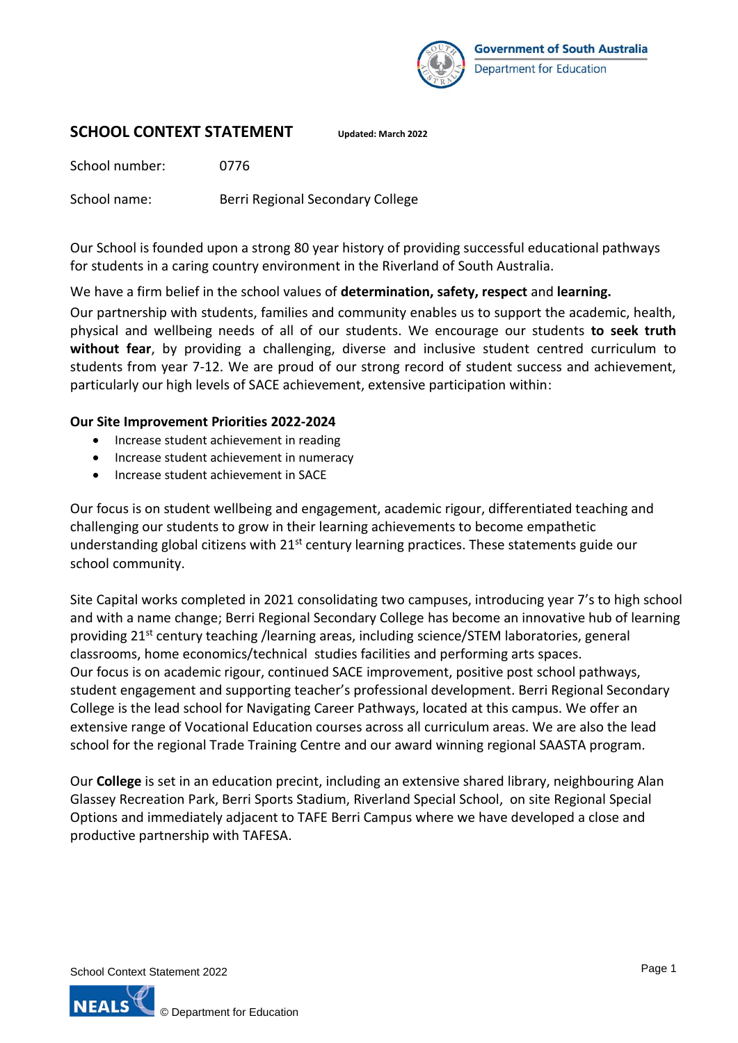

### **SCHOOL CONTEXT STATEMENT Updated: March 2022**

School number: 0776

School name: Berri Regional Secondary College

Our School is founded upon a strong 80 year history of providing successful educational pathways for students in a caring country environment in the Riverland of South Australia.

We have a firm belief in the school values of **determination, safety, respect** and **learning.**

Our partnership with students, families and community enables us to support the academic, health, physical and wellbeing needs of all of our students. We encourage our students **to seek truth without fear**, by providing a challenging, diverse and inclusive student centred curriculum to students from year 7-12. We are proud of our strong record of student success and achievement, particularly our high levels of SACE achievement, extensive participation within:

### **Our Site Improvement Priorities 2022-2024**

- Increase student achievement in reading
- Increase student achievement in numeracy
- Increase student achievement in SACE

Our focus is on student wellbeing and engagement, academic rigour, differentiated teaching and challenging our students to grow in their learning achievements to become empathetic understanding global citizens with  $21<sup>st</sup>$  century learning practices. These statements guide our school community.

Site Capital works completed in 2021 consolidating two campuses, introducing year 7's to high school and with a name change; Berri Regional Secondary College has become an innovative hub of learning providing 21<sup>st</sup> century teaching /learning areas, including science/STEM laboratories, general classrooms, home economics/technical studies facilities and performing arts spaces. Our focus is on academic rigour, continued SACE improvement, positive post school pathways, student engagement and supporting teacher's professional development. Berri Regional Secondary College is the lead school for Navigating Career Pathways, located at this campus. We offer an extensive range of Vocational Education courses across all curriculum areas. We are also the lead school for the regional Trade Training Centre and our award winning regional SAASTA program.

Our **College** is set in an education precint, including an extensive shared library, neighbouring Alan Glassey Recreation Park, Berri Sports Stadium, Riverland Special School, on site Regional Special Options and immediately adjacent to TAFE Berri Campus where we have developed a close and productive partnership with TAFESA.

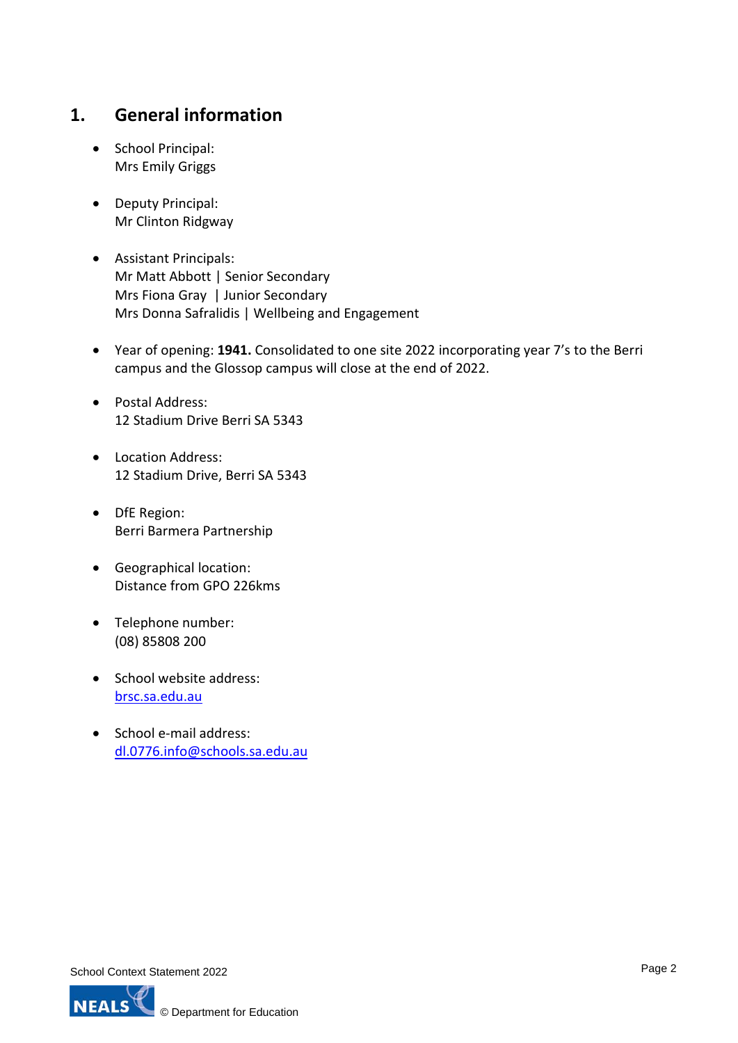## **1. General information**

- School Principal: Mrs Emily Griggs
- Deputy Principal: Mr Clinton Ridgway
- Assistant Principals: Mr Matt Abbott | Senior Secondary Mrs Fiona Gray | Junior Secondary Mrs Donna Safralidis | Wellbeing and Engagement
- Year of opening: **1941.** Consolidated to one site 2022 incorporating year 7's to the Berri campus and the Glossop campus will close at the end of 2022.
- Postal Address: 12 Stadium Drive Berri SA 5343
- Location Address: 12 Stadium Drive, Berri SA 5343
- DfE Region: Berri Barmera Partnership
- Geographical location: Distance from GPO 226kms
- Telephone number: (08) 85808 200
- School website address: [brsc.sa.edu.au](https://brsc.sa.edu.au/)
- School e-mail address: [dl.0776.info@schools.sa.edu.au](mailto:dl.0776.info@schools.sa.edu.au)

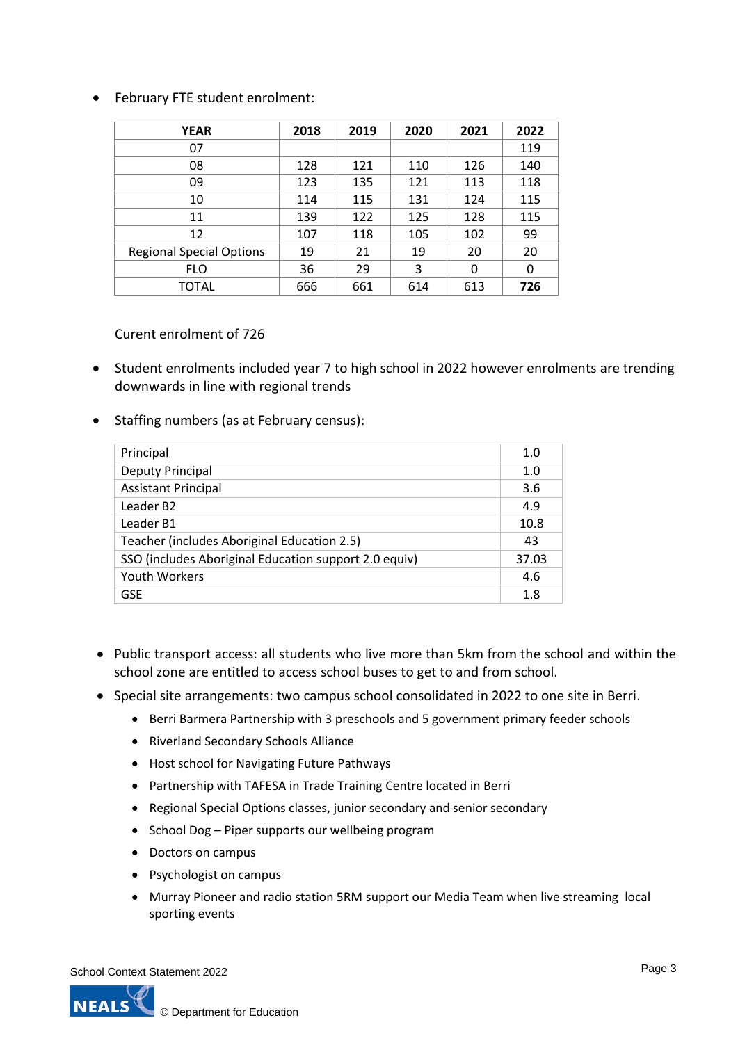### • February FTE student enrolment:

| <b>YEAR</b>                     | 2018 | 2019 | 2020 | 2021 | 2022 |
|---------------------------------|------|------|------|------|------|
| 07                              |      |      |      |      | 119  |
| 08                              | 128  | 121  | 110  | 126  | 140  |
| 09                              | 123  | 135  | 121  | 113  | 118  |
| 10                              | 114  | 115  | 131  | 124  | 115  |
| 11                              | 139  | 122  | 125  | 128  | 115  |
| 12                              | 107  | 118  | 105  | 102  | 99   |
| <b>Regional Special Options</b> | 19   | 21   | 19   | 20   | 20   |
| <b>FLO</b>                      | 36   | 29   | 3    | 0    | 0    |
| TOTAL                           | 666  | 661  | 614  | 613  | 726  |

Curent enrolment of 726

- Student enrolments included year 7 to high school in 2022 however enrolments are trending downwards in line with regional trends
- Staffing numbers (as at February census):

| Principal                                             | 1.0  |
|-------------------------------------------------------|------|
| Deputy Principal                                      | 1.0  |
| <b>Assistant Principal</b>                            | 3.6  |
| Leader B <sub>2</sub>                                 | 4.9  |
| Leader B1                                             | 10.8 |
| Teacher (includes Aboriginal Education 2.5)           |      |
| SSO (includes Aboriginal Education support 2.0 equiv) |      |
| <b>Youth Workers</b>                                  |      |
| <b>GSE</b>                                            | 1.8  |

- Public transport access: all students who live more than 5km from the school and within the school zone are entitled to access school buses to get to and from school.
- Special site arrangements: two campus school consolidated in 2022 to one site in Berri.
	- Berri Barmera Partnership with 3 preschools and 5 government primary feeder schools
	- Riverland Secondary Schools Alliance
	- Host school for Navigating Future Pathways
	- Partnership with TAFESA in Trade Training Centre located in Berri
	- Regional Special Options classes, junior secondary and senior secondary
	- School Dog Piper supports our wellbeing program
	- Doctors on campus
	- Psychologist on campus
	- Murray Pioneer and radio station 5RM support our Media Team when live streaming local sporting events

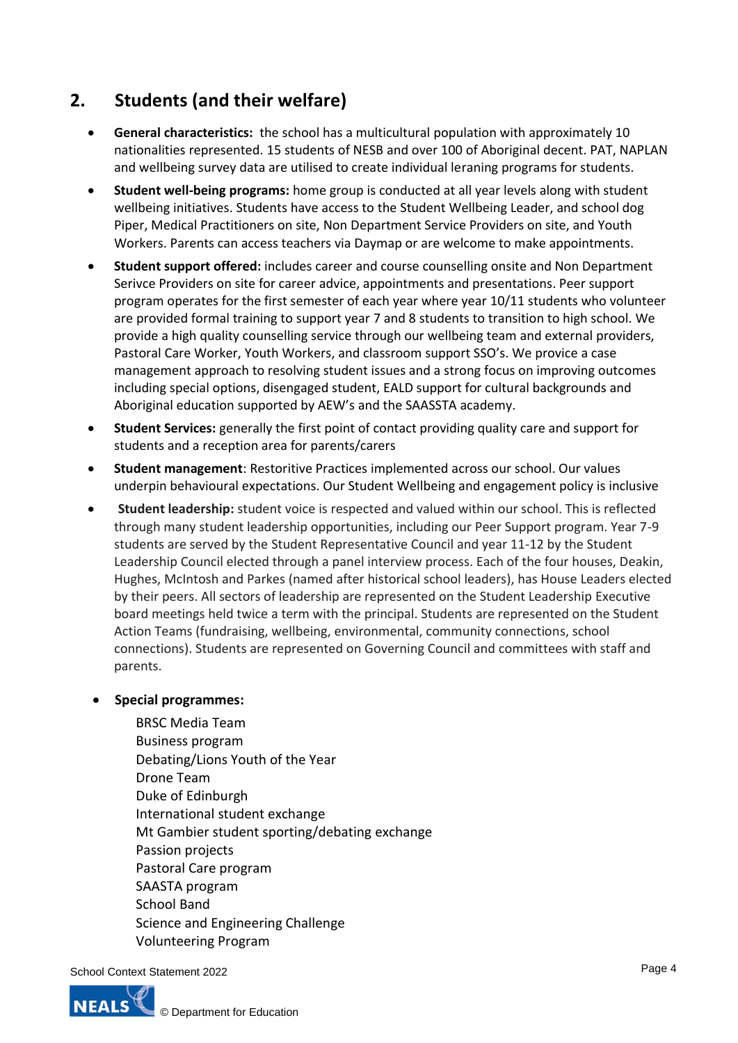# **2. Students (and their welfare)**

- **General characteristics:** the school has a multicultural population with approximately 10 nationalities represented. 15 students of NESB and over 100 of Aboriginal decent. PAT, NAPLAN and wellbeing survey data are utilised to create individual leraning programs for students.
- **Student well-being programs:** home group is conducted at all year levels along with student wellbeing initiatives. Students have access to the Student Wellbeing Leader, and school dog Piper, Medical Practitioners on site, Non Department Service Providers on site, and Youth Workers. Parents can access teachers via Daymap or are welcome to make appointments.
- **Student support offered:** includes career and course counselling onsite and Non Department Serivce Providers on site for career advice, appointments and presentations. Peer support program operates for the first semester of each year where year 10/11 students who volunteer are provided formal training to support year 7 and 8 students to transition to high school. We provide a high quality counselling service through our wellbeing team and external providers, Pastoral Care Worker, Youth Workers, and classroom support SSO's. We provice a case management approach to resolving student issues and a strong focus on improving outcomes including special options, disengaged student, EALD support for cultural backgrounds and Aboriginal education supported by AEW's and the SAASSTA academy.
- **Student Services:** generally the first point of contact providing quality care and support for students and a reception area for parents/carers
- **Student management**: Restoritive Practices implemented across our school. Our values underpin behavioural expectations. Our Student Wellbeing and engagement policy is inclusive
- **Student leadership:** student voice is respected and valued within our school. This is reflected through many student leadership opportunities, including our Peer Support program. Year 7-9 students are served by the Student Representative Council and year 11-12 by the Student Leadership Council elected through a panel interview process. Each of the four houses, Deakin, Hughes, McIntosh and Parkes (named after historical school leaders), has House Leaders elected by their peers. All sectors of leadership are represented on the Student Leadership Executive board meetings held twice a term with the principal. Students are represented on the Student Action Teams (fundraising, wellbeing, environmental, community connections, school connections). Students are represented on Governing Council and committees with staff and parents.

### • **Special programmes:**

BRSC Media Team Business program Debating/Lions Youth of the Year Drone Team Duke of Edinburgh International student exchange Mt Gambier student sporting/debating exchange Passion projects Pastoral Care program SAASTA program School Band Science and Engineering Challenge Volunteering Program

School Context Statement 2022



Page 4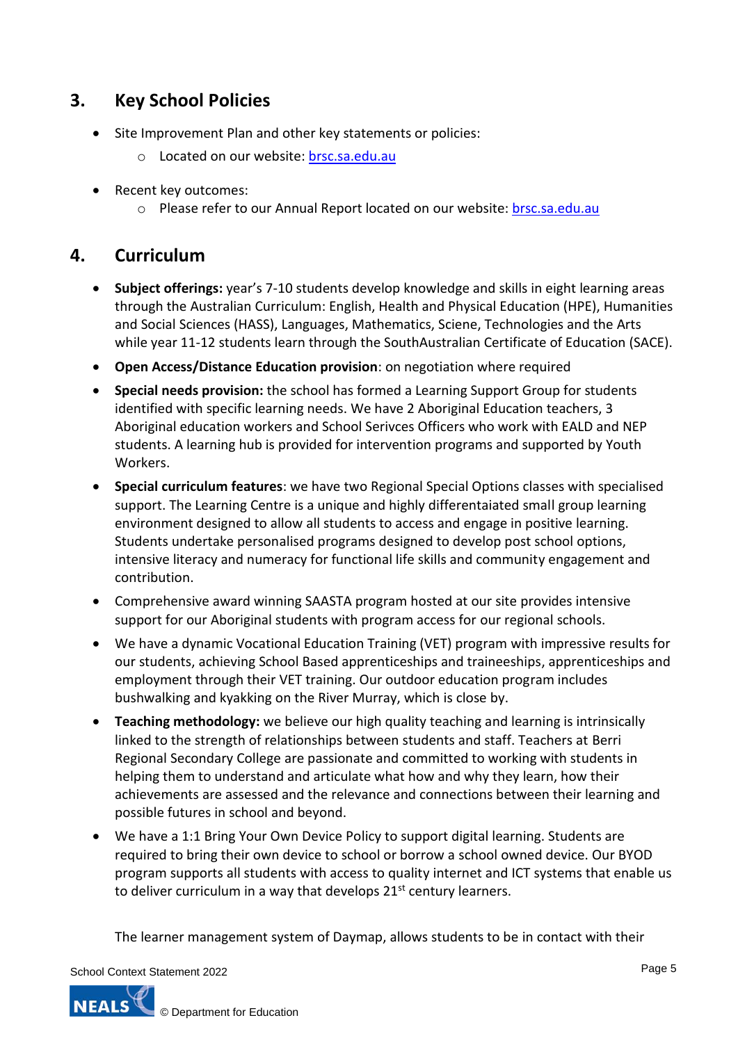## **3. Key School Policies**

- Site Improvement Plan and other key statements or policies:
	- o Located on our website: [brsc.sa.edu.au](https://brsc.sa.edu.au/)
- Recent key outcomes:
	- o Please refer to our Annual Report located on our website: [brsc.sa.edu.au](https://brsc.sa.edu.au/)

## **4. Curriculum**

- **Subject offerings:** year's 7-10 students develop knowledge and skills in eight learning areas through the Australian Curriculum: English, Health and Physical Education (HPE), Humanities and Social Sciences (HASS), Languages, Mathematics, Sciene, Technologies and the Arts while year 11-12 students learn through the SouthAustralian Certificate of Education (SACE).
- **Open Access/Distance Education provision**: on negotiation where required
- **Special needs provision:** the school has formed a Learning Support Group for students identified with specific learning needs. We have 2 Aboriginal Education teachers, 3 Aboriginal education workers and School Serivces Officers who work with EALD and NEP students. A learning hub is provided for intervention programs and supported by Youth Workers.
- **Special curriculum features**: we have two Regional Special Options classes with specialised support. The Learning Centre is a unique and highly differentaiated small group learning environment designed to allow all students to access and engage in positive learning. Students undertake personalised programs designed to develop post school options, intensive literacy and numeracy for functional life skills and community engagement and contribution.
- Comprehensive award winning SAASTA program hosted at our site provides intensive support for our Aboriginal students with program access for our regional schools.
- We have a dynamic Vocational Education Training (VET) program with impressive results for our students, achieving School Based apprenticeships and traineeships, apprenticeships and employment through their VET training. Our outdoor education program includes bushwalking and kyakking on the River Murray, which is close by.
- **Teaching methodology:** we believe our high quality teaching and learning is intrinsically linked to the strength of relationships between students and staff. Teachers at Berri Regional Secondary College are passionate and committed to working with students in helping them to understand and articulate what how and why they learn, how their achievements are assessed and the relevance and connections between their learning and possible futures in school and beyond.
- We have a 1:1 Bring Your Own Device Policy to support digital learning. Students are required to bring their own device to school or borrow a school owned device. Our BYOD program supports all students with access to quality internet and ICT systems that enable us to deliver curriculum in a way that develops  $21^{st}$  century learners.

The learner management system of Daymap, allows students to be in contact with their

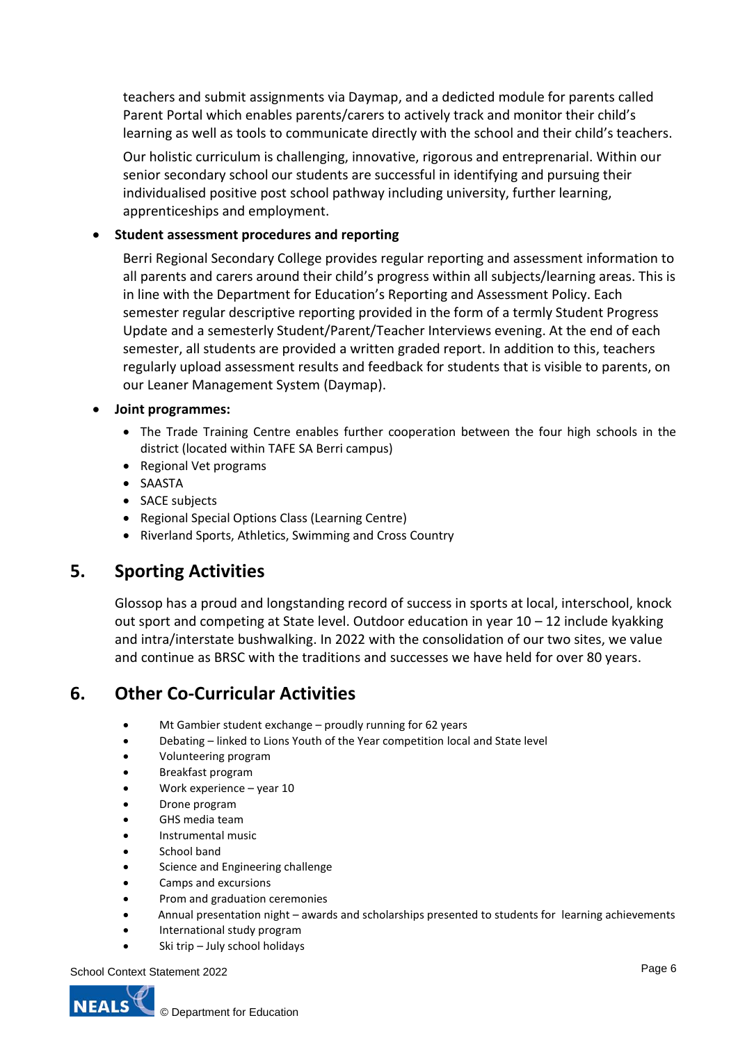teachers and submit assignments via Daymap, and a dedicted module for parents called Parent Portal which enables parents/carers to actively track and monitor their child's learning as well as tools to communicate directly with the school and their child's teachers.

Our holistic curriculum is challenging, innovative, rigorous and entreprenarial. Within our senior secondary school our students are successful in identifying and pursuing their individualised positive post school pathway including university, further learning, apprenticeships and employment.

### • **Student assessment procedures and reporting**

Berri Regional Secondary College provides regular reporting and assessment information to all parents and carers around their child's progress within all subjects/learning areas. This is in line with the Department for Education's Reporting and Assessment Policy. Each semester regular descriptive reporting provided in the form of a termly Student Progress Update and a semesterly Student/Parent/Teacher Interviews evening. At the end of each semester, all students are provided a written graded report. In addition to this, teachers regularly upload assessment results and feedback for students that is visible to parents, on our Leaner Management System (Daymap).

#### • **Joint programmes:**

- The Trade Training Centre enables further cooperation between the four high schools in the district (located within TAFE SA Berri campus)
- Regional Vet programs
- SAASTA
- SACE subjects
- Regional Special Options Class (Learning Centre)
- Riverland Sports, Athletics, Swimming and Cross Country

### **5. Sporting Activities**

Glossop has a proud and longstanding record of success in sports at local, interschool, knock out sport and competing at State level. Outdoor education in year 10 – 12 include kyakking and intra/interstate bushwalking. In 2022 with the consolidation of our two sites, we value and continue as BRSC with the traditions and successes we have held for over 80 years.

## **6. Other Co-Curricular Activities**

- Mt Gambier student exchange proudly running for 62 years
- Debating linked to Lions Youth of the Year competition local and State level
- Volunteering program
- Breakfast program
- Work experience year 10
- Drone program
- GHS media team
- Instrumental music
- School band
- Science and Engineering challenge
- Camps and excursions
- Prom and graduation ceremonies
- Annual presentation night awards and scholarships presented to students for learning achievements
- International study program
- Ski trip July school holidays

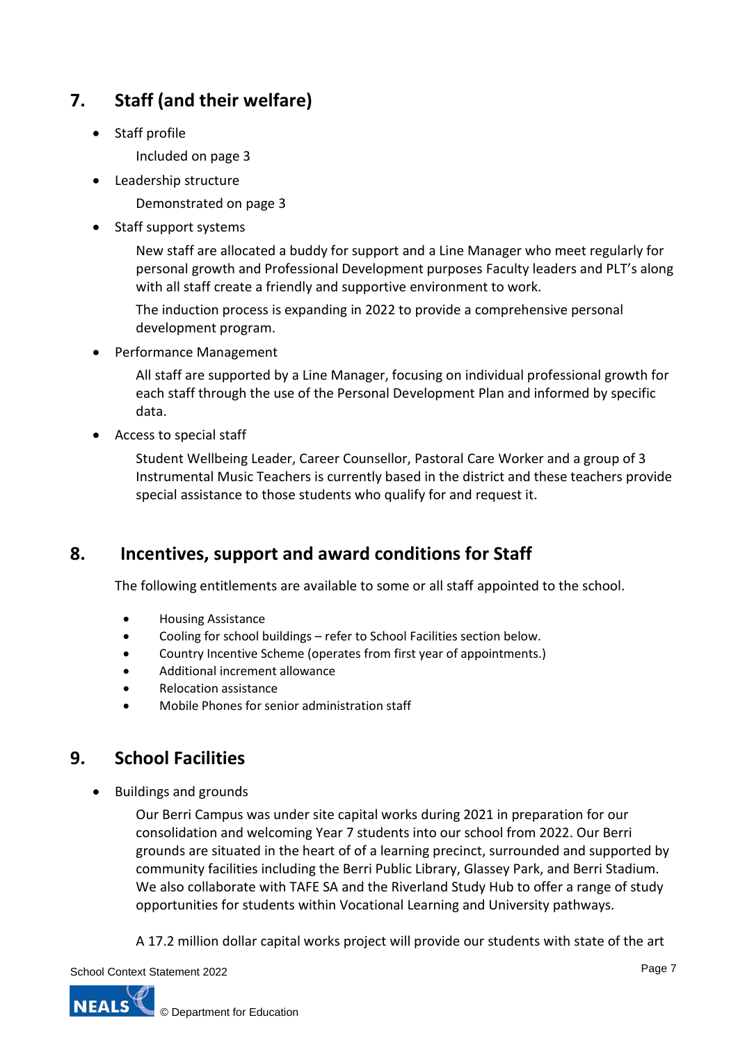# **7. Staff (and their welfare)**

- Staff profile
	- Included on page 3
- Leadership structure

Demonstrated on page 3

Staff support systems

New staff are allocated a buddy for support and a Line Manager who meet regularly for personal growth and Professional Development purposes Faculty leaders and PLT's along with all staff create a friendly and supportive environment to work.

The induction process is expanding in 2022 to provide a comprehensive personal development program.

• Performance Management

All staff are supported by a Line Manager, focusing on individual professional growth for each staff through the use of the Personal Development Plan and informed by specific data.

• Access to special staff

Student Wellbeing Leader, Career Counsellor, Pastoral Care Worker and a group of 3 Instrumental Music Teachers is currently based in the district and these teachers provide special assistance to those students who qualify for and request it.

## **8. Incentives, support and award conditions for Staff**

The following entitlements are available to some or all staff appointed to the school.

- Housing Assistance
- Cooling for school buildings refer to School Facilities section below.
- Country Incentive Scheme (operates from first year of appointments.)
- Additional increment allowance
- Relocation assistance
- Mobile Phones for senior administration staff

## **9. School Facilities**

• Buildings and grounds

Our Berri Campus was under site capital works during 2021 in preparation for our consolidation and welcoming Year 7 students into our school from 2022. Our Berri grounds are situated in the heart of of a learning precinct, surrounded and supported by community facilities including the Berri Public Library, Glassey Park, and Berri Stadium. We also collaborate with TAFE SA and the Riverland Study Hub to offer a range of study opportunities for students within Vocational Learning and University pathways.

A 17.2 million dollar capital works project will provide our students with state of the art

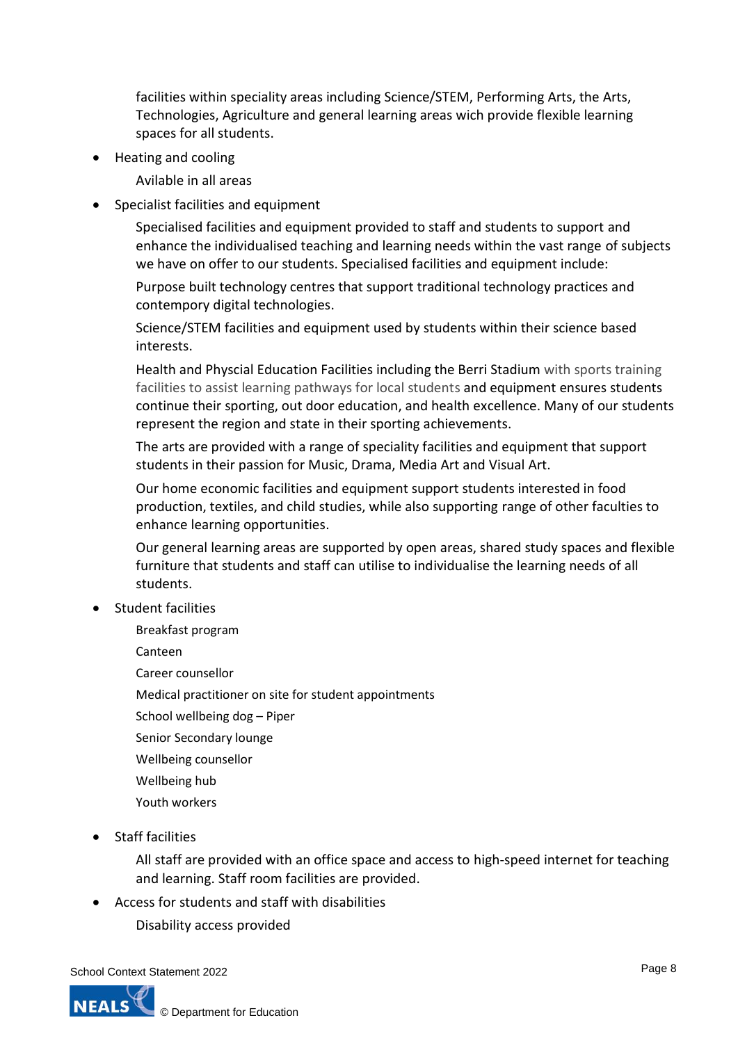facilities within speciality areas including Science/STEM, Performing Arts, the Arts, Technologies, Agriculture and general learning areas wich provide flexible learning spaces for all students.

• Heating and cooling

Avilable in all areas

Specialist facilities and equipment

Specialised facilities and equipment provided to staff and students to support and enhance the individualised teaching and learning needs within the vast range of subjects we have on offer to our students. Specialised facilities and equipment include:

Purpose built technology centres that support traditional technology practices and contempory digital technologies.

Science/STEM facilities and equipment used by students within their science based interests.

Health and Physcial Education Facilities including the Berri Stadium with sports training facilities to assist learning pathways for local students and equipment ensures students continue their sporting, out door education, and health excellence. Many of our students represent the region and state in their sporting achievements.

The arts are provided with a range of speciality facilities and equipment that support students in their passion for Music, Drama, Media Art and Visual Art.

Our home economic facilities and equipment support students interested in food production, textiles, and child studies, while also supporting range of other faculties to enhance learning opportunities.

Our general learning areas are supported by open areas, shared study spaces and flexible furniture that students and staff can utilise to individualise the learning needs of all students.

- Student facilities
	- Breakfast program

Canteen

Career counsellor

Medical practitioner on site for student appointments

- School wellbeing dog Piper
- Senior Secondary lounge
- Wellbeing counsellor
- Wellbeing hub
- Youth workers
- Staff facilities

All staff are provided with an office space and access to high-speed internet for teaching and learning. Staff room facilities are provided.

- Access for students and staff with disabilities
	- Disability access provided

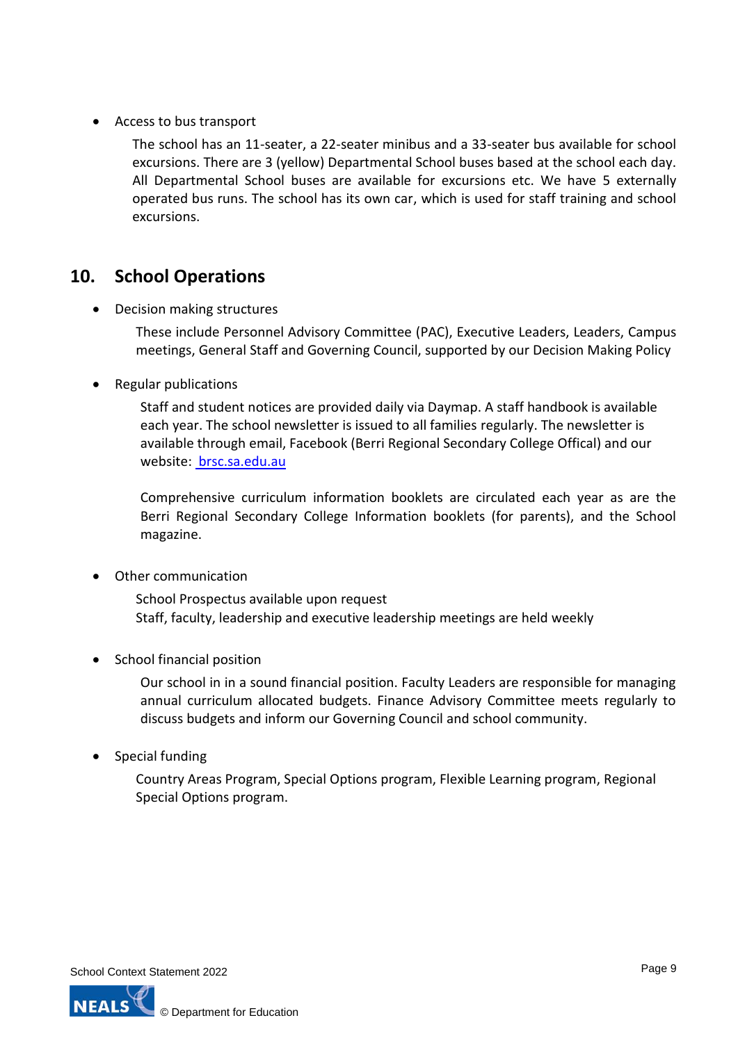• Access to bus transport

The school has an 11-seater, a 22-seater minibus and a 33-seater bus available for school excursions. There are 3 (yellow) Departmental School buses based at the school each day. All Departmental School buses are available for excursions etc. We have 5 externally operated bus runs. The school has its own car, which is used for staff training and school excursions.

## **10. School Operations**

• Decision making structures

These include Personnel Advisory Committee (PAC), Executive Leaders, Leaders, Campus meetings, General Staff and Governing Council, supported by our Decision Making Policy

• Regular publications

Staff and student notices are provided daily via Daymap. A staff handbook is available each year. The school newsletter is issued to all families regularly. The newsletter is available through email, Facebook (Berri Regional Secondary College Offical) and our website: [brsc.sa.edu.au](https://brsc.sa.edu.au/)

Comprehensive curriculum information booklets are circulated each year as are the Berri Regional Secondary College Information booklets (for parents), and the School magazine.

• Other communication

School Prospectus available upon request Staff, faculty, leadership and executive leadership meetings are held weekly

• School financial position

Our school in in a sound financial position. Faculty Leaders are responsible for managing annual curriculum allocated budgets. Finance Advisory Committee meets regularly to discuss budgets and inform our Governing Council and school community.

• Special funding

Country Areas Program, Special Options program, Flexible Learning program, Regional Special Options program.

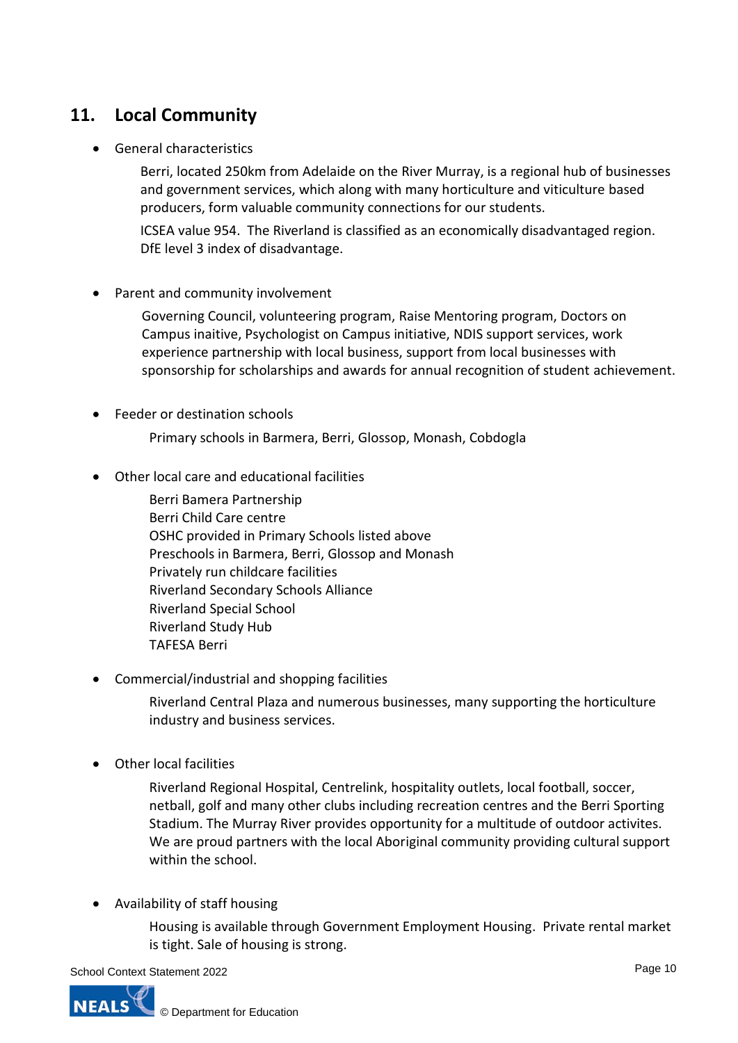# **11. Local Community**

• General characteristics

Berri, located 250km from Adelaide on the River Murray, is a regional hub of businesses and government services, which along with many horticulture and viticulture based producers, form valuable community connections for our students.

ICSEA value 954. The Riverland is classified as an economically disadvantaged region. DfE level 3 index of disadvantage.

• Parent and community involvement

Governing Council, volunteering program, Raise Mentoring program, Doctors on Campus inaitive, Psychologist on Campus initiative, NDIS support services, work experience partnership with local business, support from local businesses with sponsorship for scholarships and awards for annual recognition of student achievement.

• Feeder or destination schools

Primary schools in Barmera, Berri, Glossop, Monash, Cobdogla

• Other local care and educational facilities

Berri Bamera Partnership Berri Child Care centre OSHC provided in Primary Schools listed above Preschools in Barmera, Berri, Glossop and Monash Privately run childcare facilities Riverland Secondary Schools Alliance Riverland Special School Riverland Study Hub TAFESA Berri

• Commercial/industrial and shopping facilities

Riverland Central Plaza and numerous businesses, many supporting the horticulture industry and business services.

• Other local facilities

Riverland Regional Hospital, Centrelink, hospitality outlets, local football, soccer, netball, golf and many other clubs including recreation centres and the Berri Sporting Stadium. The Murray River provides opportunity for a multitude of outdoor activites. We are proud partners with the local Aboriginal community providing cultural support within the school.

• Availability of staff housing

Housing is available through Government Employment Housing. Private rental market is tight. Sale of housing is strong.